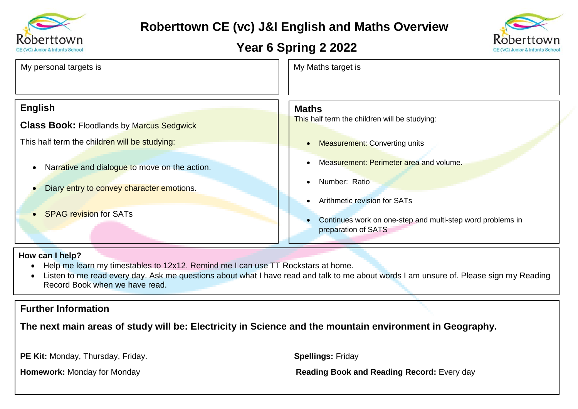

# **Roberttown CE (vc) J&I English and Maths Overview**

## **Year 6 Spring 2 2022**



| My personal targets is                           | My Maths target is                                                                                                                                                                                                                |
|--------------------------------------------------|-----------------------------------------------------------------------------------------------------------------------------------------------------------------------------------------------------------------------------------|
| <b>English</b>                                   | <b>Maths</b>                                                                                                                                                                                                                      |
| <b>Class Book: Floodlands by Marcus Sedgwick</b> | This half term the children will be studying:                                                                                                                                                                                     |
| This half term the children will be studying:    | <b>Measurement: Converting units</b>                                                                                                                                                                                              |
| Narrative and dialogue to move on the action.    | Measurement: Perimeter area and volume.                                                                                                                                                                                           |
| Diary entry to convey character emotions.        | Number: Ratio                                                                                                                                                                                                                     |
|                                                  | Arithmetic revision for SATs                                                                                                                                                                                                      |
| <b>SPAG revision for SATs</b>                    | $\mathbf{r}$ , and the contract of the contract of the contract of the contract of the contract of the contract of the contract of the contract of the contract of the contract of the contract of the contract of the contract o |

#### • Continues work on one-step and multi-step word problems in preparation of SATS

#### **How can I help?**

- Help me learn my timestables to 12x12. Remind me I can use TT Rockstars at home.
- Listen to me read every day. Ask me questions about what I have read and talk to me about words I am unsure of. Please sign my Reading Record Book when we have read.

### **Further Information**

**The next main areas of study will be: Electricity in Science and the mountain environment in Geography.**

**PE Kit:** Monday, Thursday, Friday. **Spellings:** Friday

**Homework:** Monday for Monday **Reading Book and Reading Record:** Every day